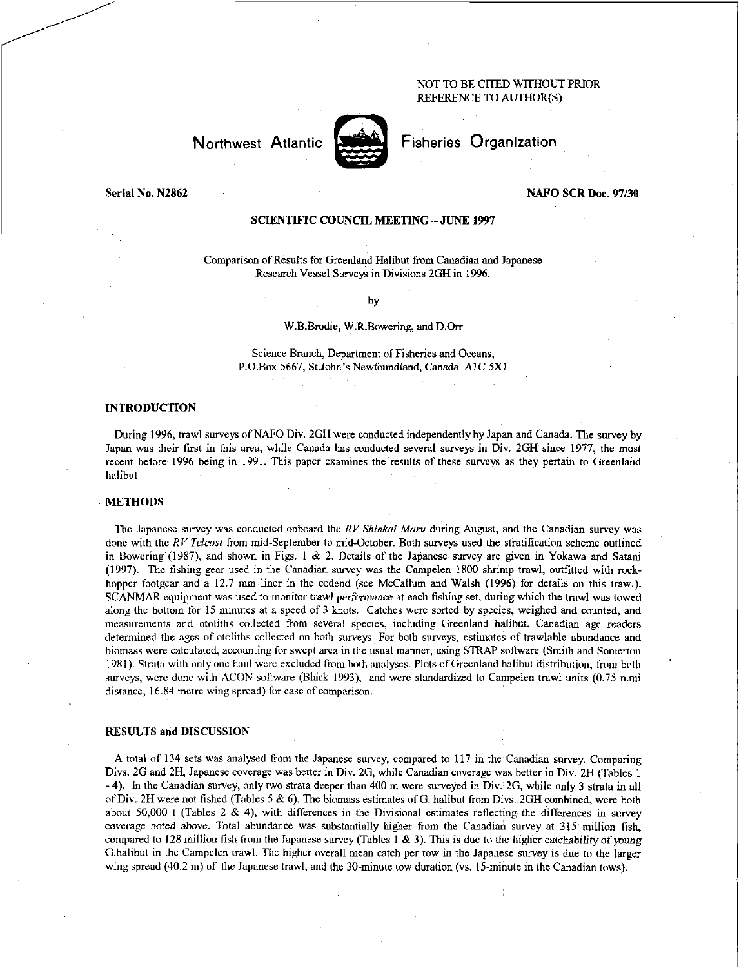## NOT TO BE CITED WITHOUT PRIOR REFERENCE TO AUTHOR(S)

# Northwest Atlantic **Notified** Fisheries Organization



#### Serial No. N2862 NAFO SCR Doc. 97/30

## SCIENTIFIC COUNCIL. MEETING — JUNE 1997

Comparison of Results for Greenland Halibut from Canadian and Japanese Research Vessel Surveys in Divisions 2GH in 1996.

by

#### W.B.Brodie, W.R.Bowering, and D.Orr

Science Branch, Department of Fisheries and Oceans, P.O.Box 5667, St.John's Newfoundland, Canada AlC 5X1

## INTRODUCTION

During 1996, trawl surveys of NAFO Div. 2611 were conducted independently by Japan and Canada. The survey by Japan was their first in this area, while Canada has conducted several surveys in Div. 2GH since 1977, the most recent before 1996 being in 1991. This paper examines the results of these surveys as they pertain to Greenland halibut.

#### METHODS

The Japanese survey was conducted onboard the *RV Shinkal Maru* during August, and the Canadian survey was done with the *RV Teleost* from mid-September to mid-October. Both surveys used the stratification scheme outlined in Bowering (1987), and shown in Figs. 1 & 2. Details of the Japanese survey are given in Yokawa and Satani (1997). The fishing gear used in the Canadian survey was the Campelen 1800 shrimp trawl, outfitted with rockhopper footgear and a 12.7 mm liner in the codend (see McCallum and Walsh (1996) for details on this trawl). SCANMAR equipment was used to monitor trawl *performance at* each fishing set, during which the trawl was towed along the bottom for 15 minutes at a speed of 3 knots. Catches were sorted by species, weighed and counted, and measurements and otoliths collected from several species, including Greenland halibut. Canadian age readers determined the ages of otoliths collected on both surveys. For both surveys, estimates of trawlable abundance and biomass were calculated, accounting for swept area in the usual manner, using STRAP software (Smith and Somerton 1981). Strata with only one haul were excluded from both analyses. Plots of Greenland halibut distribution, from both surveys, were done with ACON software (Black 1993), and were standardized to Campelen trawl units (0.75 n.mi distance, 16.84 metre wing spread) for ease of comparison.

### RESULTS and DISCUSSION

A total of 134 sets was analysed from the Japanese survey, compared to 117 in the Canadian survey. Comparing Divs. 2G and 2H, Japanese coverage was better in Div. 2G, while Canadian coverage was better in Div. 2H (Tables 1 - 4). In the Canadian survey, only two strata deeper than 400 m were surveyed in Div. 2G, while only 3 strata in all of Diva 2f1 were not fished (Tables 5 & 6). The biomass estimates of G. halibut from Divs. 2011 combined, were both about 50,000 t (Tables 2 & 4), with differences in the Divisional estimates reflecting the differences in survey coverage *noted* above. Total abundance was substantially higher from the Canadian survey at 315 million fish, compared to 128 million fish from the Japanese survey (Tables 1 & 3). This is due to the higher catchability of *young*  G.halibut in the Campelen trawl. The higher overall mean catch per tow in the Japanese survey is due to the larger wing spread (40.2 m) of the Japanese trawl, and the 30-minute tow duration (vs. 15-minute in the Canadian tows).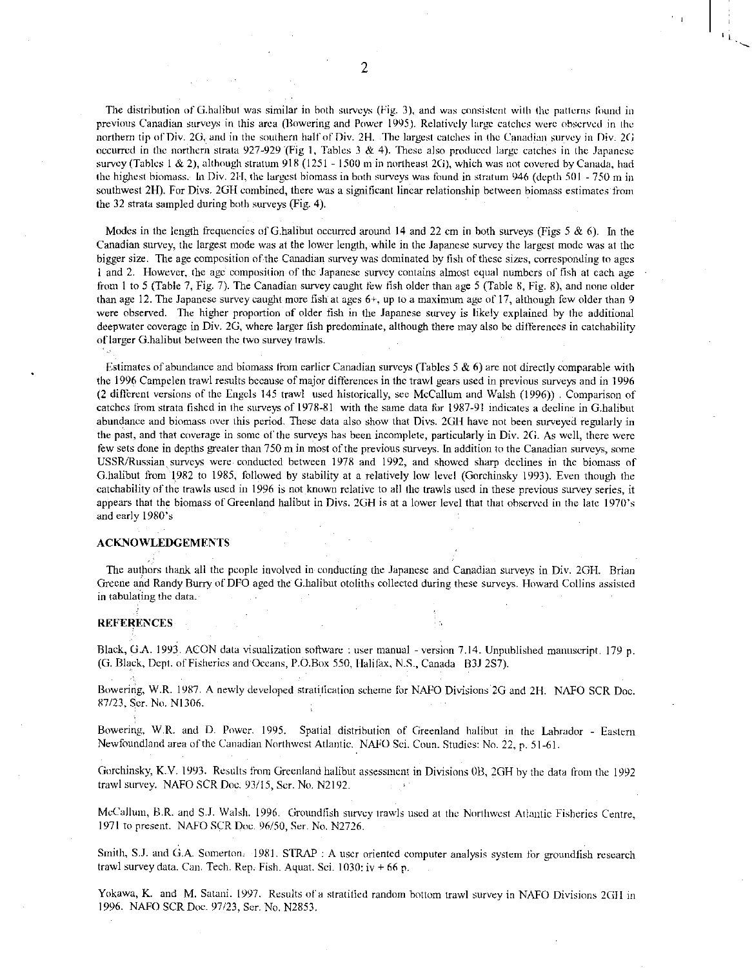The distribution of G.halibut was similar in both surveys (Fig. 3), and was consistent with the patterns found in previous Canadian surveys in this area (Dowering and Power 1995). Relatively large catches were observed in the northern tip of Div. 20, and in the southern half of Div. 211. The largest catches in the Canadian survey in Div: 2G occurred in the northern strata 927-929 (Fig 1, Tables 3 & 4). These also produced large catches in the Japanese survey (Tables 1 & 2), although stratum 918 (1251 - 1500 m in northeast 2G), which was not covered by Canada, had the highest biomass. In Div. 211, the largest biomass in both surveys was found in stratum 946 (depth 501 - 750 m in southwest 2H). For Divs. 2GH combined, there was a significant linear relationship between biomass estimates from the 32 strata sampled during both surveys (Fig. 4).

Modes in the length frequencies of G.halibut occurred around 14 and 22 cm in both surveys (Figs 5  $\&$  6). In the Canadian survey, the largest mode was at the lower length, while in the Japanese survey the largest mode was at the bigger size. The age composition of the Canadian survey was dominated by fish of these sizes, corresponding to ages 1 and 2. However, the age composition of the Japanese survey contains almost equal numbers of fish at each age from I to 5 (Table 7, Fig. 7). The Canadian survey caught few fish older than age 5 (Table 8, Fig. 8), and none older than age 12. The Japanese survey caught more fish at ages 6+, up to a maximum age of 17, although few older than 9 were observed. The higher proportion of older fish in the Japanese survey is likely explained by the additional deepwater coverage in Div. 26, where larger fish predominate, although there may also be differences in catchability of larger G.halibut between the two survey trawls.

Estimates of abundance and biomass from earlier Canadian surveys (Tables  $5 \& 6$ ) are not directly comparable with the 1996 Campelen trawl results because of major differences in the trawl gears used in previous surveys and in 1996 (2 different versions of the Engels 145 trawl used historically, see McCallum and Walsh (1996)) . Comparison of catches from strata fished in the surveys of 1978-81 with the same data tbr 1987-91 indicates a decline in G.halibut abundance and biomass over this period. These data also show that Divs. 2011 have not been surveyed regularly in the past, and that coverage in some of the surveys has been incomplete, particularly in Div. 2G. As well, there were few sets done in depths greater than 750 m in most of the previous surveys. In addition to the Canadian surveys, some USSR/Russian surveys were conducted between 1978 and 1992, and showed sharp declines in the biomass of G.halibut from 1982 to 1985, followed by stability at a relatively low level (Gorchinsky 1993). Even though the catchability of the trawls used in 1996 is not known relative to all the trawls used in these previous survey series, it appears that the biomass of Greenland halibut in Divs. 2GH is at a lower level that that observed in the late 1970's and early 1980's

## ACKNOWLEDGEMENTS

The authors thank all the people involved in conducting the Japanese and Canadian surveys in Div. 20II. Brian Greene and Randy Burry of DFO aged the G.halibut otoliths collected during these surveys. Howard Collins assisted in tabulating the data.

#### **REFERENCES**

• Black, G.A. 1993. ACON data visualization software : user manual - version 7.14. Unpublished manuscript. 179 p. (G. Black, Dept. of Fisheries and Oceans, P.O.Box 550, Halifax, N.S., Canada 183J 2S7).

Bowering, W.R. 1987. A newly developed stratification scheme for NAFO Divisions 2G and 2H. NAFO SCR Doc. 87/23, Ser. No. N1306.

Bowering, W.R. and D. Power. 1995. Spatial distribution of Greenland halibut in the Labrador - Eastern Newfoundland area of the Canadian Northwest Atlantic. NAFO Sci. Coun. Studies: No. 22, p. 51-61.

Gorchinsky, K.V. 1993. Results from Greenland halibut assessment in Divisions OB, 20H by the data from the 1992 trawl survey. NAFO SCR Doe. 93/15, Ser. No. N2192.  $\gamma=1.3$ 

McCallum, B.R. and S.J. Walsh. 1996. Groundfish survey trawls used at the Northwest Atlantic Fisheries Centre, 1971 to present. NAFO KR Doe. 96/50, Ser. No. N2726.

Smith, S.J. and G.A. Somerton. 1981. STRAP : A user oriented computer analysis system for groundfish research trawl survey data. Can. Tech. Rep. Fish. Aquat. Sci. 1030: iv + 66 p.

Yokawa, K. and M. Satani. 1997. Results of a stratitied random bottom trawl survey in NAFO Divisions 2GH in 1996. NAFO SCR Doc. 97/23, Ser. No. N2853.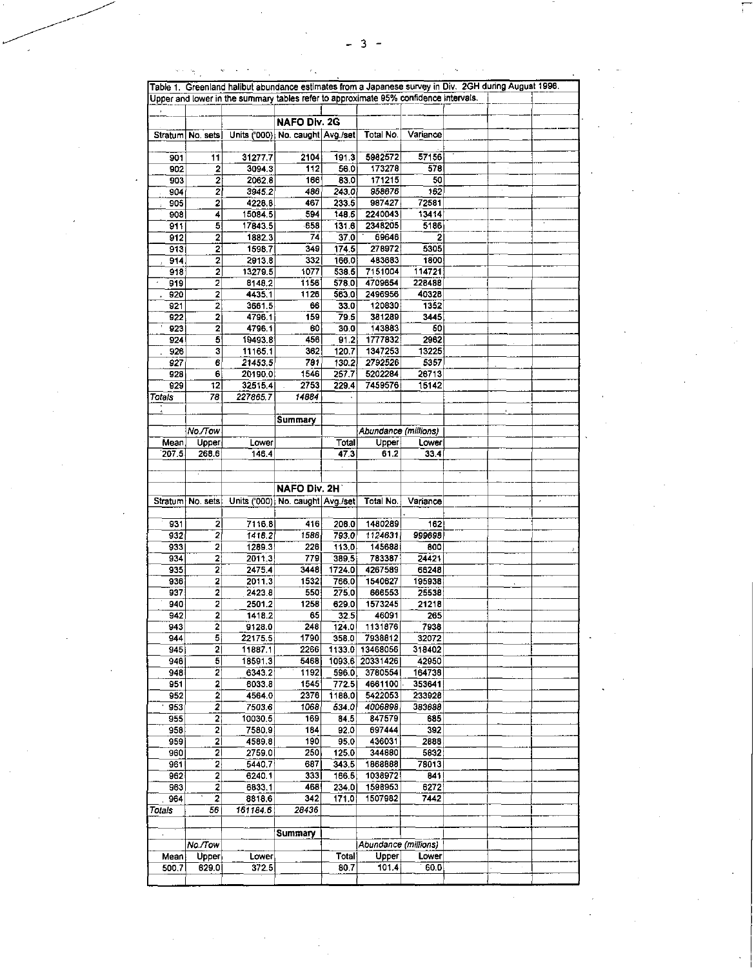|                           |                         | Table 1. Greenland halibut abundance estimates from a Japanese survey in Div. 2GH during August 1996. |                     |                 |                      |                         |  |            |          |
|---------------------------|-------------------------|-------------------------------------------------------------------------------------------------------|---------------------|-----------------|----------------------|-------------------------|--|------------|----------|
|                           |                         | Upper and lower in the summary tables refer to approximate 95% confidence intervals.                  |                     |                 |                      |                         |  |            |          |
|                           |                         |                                                                                                       | <b>NAFO Div. 2G</b> |                 |                      |                         |  |            |          |
|                           |                         | Stratum No. sets Units ('000) No. caught Avg./set                                                     |                     |                 | Total No.            | Variance                |  |            |          |
|                           |                         |                                                                                                       |                     |                 |                      |                         |  |            |          |
| 901                       | 11                      | 31277.7                                                                                               | 2104                | 191.3           | 5982572              | 57156                   |  |            |          |
| 902                       | $\mathbf{2}$            | 3094.3                                                                                                | $\overline{112}$    | 56.0            | 173278               | 578                     |  |            |          |
| 903                       | $\mathbf{z}$            | 2062.8                                                                                                | 166                 | 83.0            | 171215               | 50                      |  |            |          |
| 904                       | $\mathbf{z}$            | 3945.2                                                                                                | 486                 | 243.0           | 958676               | 162                     |  |            |          |
| 905                       | $\mathbf{2}$            | 4228.8                                                                                                | 467                 | 233.5           | 987427               | 72581                   |  |            |          |
| 908                       | 4                       | 15084.5                                                                                               | 594<br>658          | 148.5<br>1316   | 2240043<br>2348205   | 13414<br>5186           |  |            |          |
| 911<br>912                | 5 <br>$\mathbf{2}$      | 17843.5<br>1882.3                                                                                     | 74                  | 37.0            | 69646                | 2                       |  |            |          |
| 913                       | $\mathbf{2}$            | 1598.7                                                                                                | 349                 | 174.5           | 278972               | 5305                    |  |            |          |
| $\overline{914}$          | $\overline{2}$          | 2913.8                                                                                                | 332                 | 166.0           | 483683               | 1800                    |  |            |          |
| 918                       | $\mathbf{2}$            | 13279.5                                                                                               | 1077                | 538.5           | 7151004              | 114721                  |  |            |          |
| 919                       | $\mathbf{z}$            | 8148.2                                                                                                | 1156                | 578.0           | 4709654              | 228488                  |  |            |          |
| 920                       | $\mathbf{2}$            | 4435.1                                                                                                | 1126                | 563.0           | 2496956              | 40328                   |  |            |          |
| 921                       | $\overline{2}$          | 3661.5                                                                                                | 66                  | 33.0            | 120830               | 1352                    |  |            |          |
| 922                       | $\mathbf{2}$            | 4796.1                                                                                                | 159                 | 79.5            | 381289               | 3445                    |  |            |          |
| 923<br>924                | $\mathbf{2}$<br>5       | 4796.1<br>19493.8                                                                                     | 60<br>456           | 30.0<br>91.2    | 143883<br>1777832    | $\overline{50}$<br>2962 |  |            |          |
| 926                       | 3                       | 11165.1                                                                                               | 362                 | 120.7           | 1347253              | 13225                   |  |            |          |
| $\overline{927}$          | 6 <sub>1</sub>          | 21453.5                                                                                               | 781                 | 130.2           | 2792526              | 5357                    |  |            |          |
| 928                       | 6                       | 20190.0                                                                                               | 1546                | 257.7           | 5202284              | 26713                   |  |            |          |
| 929                       | 12                      | 32515.4                                                                                               | 2753                | 229.4           | 7459576              | 15142                   |  |            |          |
| Tolais                    | 78                      | 227865.7                                                                                              | 14884               |                 |                      |                         |  |            |          |
|                           |                         |                                                                                                       |                     |                 |                      |                         |  |            |          |
|                           |                         |                                                                                                       | Summary             |                 |                      |                         |  |            |          |
|                           | No./Tow                 |                                                                                                       |                     |                 | Abundance (millions) |                         |  |            |          |
| Mean.                     | Upper                   | Lower                                                                                                 |                     | Total<br>47.3   | Upper<br>61.2        | Lower                   |  |            |          |
| 207.5                     | 268.6                   | 146.4                                                                                                 |                     |                 |                      | 33.4                    |  |            |          |
|                           |                         |                                                                                                       |                     |                 |                      |                         |  |            |          |
|                           |                         |                                                                                                       | NAFO Div. 2H        |                 |                      |                         |  |            |          |
|                           |                         | Stratum No. sets Units ('000) No. caught Avg./set                                                     |                     |                 | Total No.            | Variance                |  | $\epsilon$ |          |
|                           |                         |                                                                                                       |                     |                 |                      |                         |  |            |          |
| 931                       | $\mathbf{z}$            | 7116.8                                                                                                | 416                 | 208.0           | 1480289              | 162                     |  |            |          |
| 932                       | $\overline{2}$          | 1418.2                                                                                                | 1586                | 793.0           | 1124631              | 999698                  |  |            |          |
| 933                       | 2                       | 1289.3                                                                                                | 226                 | 113.0           | 145688               | 800                     |  |            |          |
| 934                       | 2                       | 2011.3                                                                                                | 779                 | 389.5           | 783387               | 24421                   |  |            |          |
| 935<br>936                | 21                      | 2475.4<br>2011.3                                                                                      | 3448<br>1532        | 1724.0<br>766.0 | 4267589<br>1540627   | 66248<br>195938         |  |            |          |
| 937                       | 2 <br>$\mathbf{2}$      | 2423.8                                                                                                | 550                 | 275.0           | 666553               | 25538                   |  |            |          |
| $940 -$                   | $\mathbf{2}$            | 2501.2                                                                                                | 1258                | 629.0           | 1573245              | 21218                   |  |            |          |
| 942                       | $\mathbf{2}$            | 1418.2                                                                                                | 65                  | 32.5            | 46091                | 265                     |  |            |          |
| 943                       | $\mathbf{z}$            | 9128.0                                                                                                | 248                 | 124.0           | 1131876              | 7938                    |  |            |          |
| 944                       | 5)                      | 22175.5                                                                                               | 1790                | 358.0           | 7938812              | 32072                   |  |            | $\Delta$ |
| 945                       | 21                      | 11887.1                                                                                               | 2266                |                 | 1133.0 13468056      | 318402                  |  |            |          |
| 946                       | $\overline{\mathbf{5}}$ | 18591.3                                                                                               | 5468                |                 | 1093.6 20331426      | 42950                   |  |            |          |
| 948                       | $2\vert$                | 6343.2                                                                                                | 1192                | 596.0           | 3780554              | 164738                  |  |            |          |
| 951                       | $\mathbf{2}$            | 6033.8                                                                                                | 1545                | 772.5           | 4661100              | 353641                  |  |            |          |
| 952<br>953                | $\mathbf{z}$<br>2       | 4564.0<br>7503.6                                                                                      | 2376<br>1068        | 1188.0<br>534.0 | 5422053<br>4006898   | 233928<br>383688        |  |            |          |
| 955                       | $\mathbf{2}$            | 10030.5                                                                                               | 169                 | 34.5            | 847579               | 685                     |  |            |          |
| 958                       | $\mathbf{2}$            | 7580.9                                                                                                | 184                 | 92.0            | 697444               | 392                     |  |            |          |
| 959                       | 2                       | 4589.8                                                                                                | 190                 | 95.0            | 436031               | 2888                    |  |            |          |
| 960                       | 21                      | 2759.0                                                                                                | 250                 | 125.0           | 344880               | 5832                    |  |            |          |
| 961                       | $\mathbf{z}$            | 5440.7                                                                                                | 687                 | 343.5           | 1868888              | 78013                   |  |            |          |
| 962                       | $\mathbf{2}$            | 6240.1                                                                                                | 333                 | 166.5           | 1038972              | 841                     |  |            |          |
| 963                       | $\mathbf{z}$            | 6833.1                                                                                                | 468                 | 234.0           | 1598953              | 6272                    |  |            |          |
| 964                       | $\mathbf{2}$            | 8818.6                                                                                                | 342<br>28436        | 171.0           | 1507982              | 7442                    |  |            |          |
| Totals                    | 56                      | 161184.6                                                                                              |                     |                 |                      |                         |  |            |          |
| $\mathcal{A}=\mathcal{A}$ |                         |                                                                                                       | Summary             |                 |                      |                         |  |            |          |
|                           | No./Tow                 |                                                                                                       |                     |                 | Abundance (millions) |                         |  |            |          |
| Mean                      | Upper                   | Lower                                                                                                 |                     | Total           | Upper                | Lower                   |  |            |          |
| 500.7                     | 629.0                   | 372.5                                                                                                 |                     | 807             | 101.4                | 60.0                    |  |            |          |
|                           |                         |                                                                                                       |                     |                 |                      |                         |  |            |          |

 $\label{eq:2} \begin{split} \mathcal{L}_{\text{max}}(\mathbf{r},\mathbf{r}) = \mathcal{L}_{\text{max}}(\mathbf{r},\mathbf{r}) = \mathcal{L}_{\text{max}}(\mathbf{r},\mathbf{r}) \mathcal{L}_{\text{max}}(\mathbf{r},\mathbf{r}) \mathcal{L}_{\text{max}}(\mathbf{r},\mathbf{r}) \mathcal{L}_{\text{max}}(\mathbf{r},\mathbf{r},\mathbf{r}) \mathcal{L}_{\text{max}}(\mathbf{r},\mathbf{r},\mathbf{r},\mathbf{r},\mathbf{r},\mathbf{r},\mathbf{r},\mathbf{r},\mathbf$ 

 $\label{eq:2.1} \frac{1}{\sqrt{2}}\left(\frac{1}{\sqrt{2}}\right)^{2} \left(\frac{1}{\sqrt{2}}\right)^{2} \left(\frac{1}{\sqrt{2}}\right)^{2} \left(\frac{1}{\sqrt{2}}\right)^{2} \left(\frac{1}{\sqrt{2}}\right)^{2} \left(\frac{1}{\sqrt{2}}\right)^{2} \left(\frac{1}{\sqrt{2}}\right)^{2} \left(\frac{1}{\sqrt{2}}\right)^{2} \left(\frac{1}{\sqrt{2}}\right)^{2} \left(\frac{1}{\sqrt{2}}\right)^{2} \left(\frac{1}{\sqrt{2}}\right)^{2} \left(\$ 

 $\sim$ 

 $\frac{1}{2} \int_{\mathbb{R}^2} \left| \frac{d\mathbf{r}}{d\mathbf{r}} \right| \, d\mathbf{r}$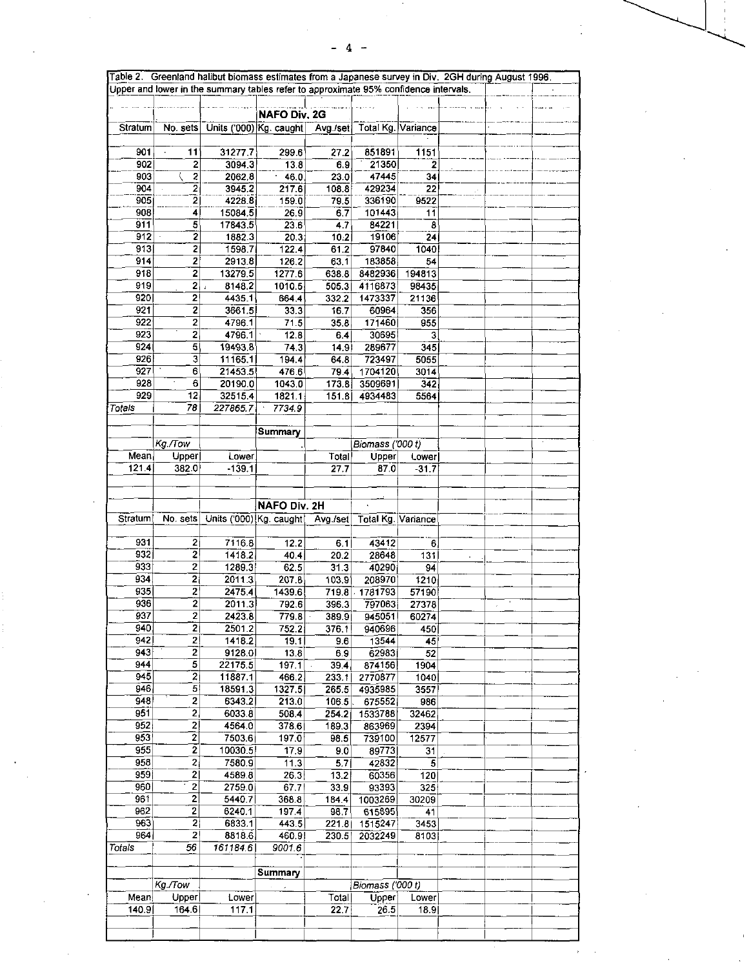$\label{eq:2.1} \frac{1}{\sqrt{2}}\int_{0}^{\infty}\frac{1}{\sqrt{2\pi}}\left(\frac{1}{\sqrt{2\pi}}\right)^{2}d\mu_{\rm{eff}}$ 

|                   |                                  |                                                                  | <b>NAFO Div. 2G</b> |                |                         |                          |        |  |
|-------------------|----------------------------------|------------------------------------------------------------------|---------------------|----------------|-------------------------|--------------------------|--------|--|
| Stratum           |                                  | No. sets Units ('000) Kg. caught Avg./set Total Kg. Variance     |                     |                |                         |                          |        |  |
| 901               | 11                               | 31277.7                                                          | 299.6               | 27.2           | 851891                  | 1151                     |        |  |
| 902               | $\overline{2}$                   | 3094.3                                                           | 13.8                | 6.9            | 21350                   | $\overline{2}$           |        |  |
| 903               | $\overline{\mathbf{2}}$          | 2062.8                                                           | 46.0                | 23.0           | 47445                   | 34                       |        |  |
| 904<br>905        | $\overline{2}$<br>$\overline{2}$ | 3945.2<br>4228.8                                                 | 217.6               | 108.8          | 429234<br>336190        | $\overline{22}$<br>9522  |        |  |
| 908               | 4                                | 15084.5                                                          | 159.0<br>26.9       | 79.5<br>6.7    | 101443                  | 11                       |        |  |
| 911               | 5                                | 17843.5                                                          | 23.6                | 47             | 84221                   | 8                        |        |  |
| 912               | 2                                | 1882.3                                                           | 20.3                | 10.2           | 19106                   | $\overline{24}$          |        |  |
| 913               | 2                                | 1598.7                                                           | 122.4               | 61.2           | 97840                   | 1040                     |        |  |
| 914               | $\mathbf{z}$                     | 2913.8                                                           | 126.2               | 63.1           | 183858                  | 54                       |        |  |
| 918<br>919        | $\mathbf{2}$<br>$2\sqrt{2}$      | 13279.5<br>8148.2                                                | 1277.6<br>1010.5    | 638.8<br>505.3 | 8482936<br>4116873      | 194813<br>98435          |        |  |
| 920               | 2                                | 4435.1                                                           | 664.4               | 332.2          | 1473337                 | 21136                    |        |  |
| 921               | $\mathbf{2}$                     | 3661.5                                                           | 33.3                | 16.7           | 60964                   | 356                      |        |  |
| 922               | 2                                | 4796.1                                                           | 71.5                | 35.8           | 171460                  | 955                      |        |  |
| 923               | $\overline{2}$                   | 4796.1                                                           | 12.8                | 6.4            | 30695                   | 3.                       |        |  |
| 924<br>926        | 5 <br>3                          | 19493.8<br>11165.1                                               | 74.3                | 14.9           | 289677<br>723497        | 345<br>5055              |        |  |
| 927               | 6                                | 21453.5                                                          | 194.4<br>476.6      | 64.8           | 794 1704120             | 3014                     |        |  |
| 928               | 6                                | 20190.0                                                          | 1043.0              | 173.8          | 3509691                 | 342                      |        |  |
| 929               | 12                               | 32515.4                                                          | 1821.1              | 151.8          | 4934483                 | 5564                     |        |  |
| Totals            | 78                               | 227865.7                                                         | 7734.9              |                |                         |                          |        |  |
|                   |                                  |                                                                  | Summary             |                |                         |                          |        |  |
|                   | Kg./Tow                          |                                                                  |                     |                | Biomass (000 t)         |                          |        |  |
| Mean              | Upper                            | Lower                                                            |                     | Total          | Upper                   | Lower                    |        |  |
| 121.4             | 382.0                            | $-139.1$                                                         |                     | 27.7           | 87.0                    | $-31.7$                  |        |  |
|                   |                                  |                                                                  |                     |                |                         |                          |        |  |
|                   |                                  |                                                                  |                     |                |                         |                          |        |  |
| Stratum           |                                  |                                                                  | NAFO Div. 2H        |                |                         |                          |        |  |
|                   |                                  | No. sets Units ('000) Kg. caught   Avg./set   Total Kg. Variance |                     |                |                         |                          |        |  |
| 931               | $\overline{2}$                   | 7116.8                                                           | 12.2                | 6.1            | 43412                   | 6                        |        |  |
| 932               | 21                               | 1418.2                                                           | 40.4                | 20.2           | 28648                   | $\overline{131}$         |        |  |
| 933               | $\mathbf{z}$                     | 1289.3                                                           | 62.5                | 313            | 40290                   | 94                       |        |  |
| 934<br>935        | $\overline{2}$<br>2              | 20113<br>2475.4                                                  | 207.8<br>1439.6     | 103.9          | 208970<br>719.8 1781793 | 1210<br>57190            |        |  |
| 936               | $\mathbf{2}$                     | 20113                                                            | 792.6               | 396.3          | 797063                  | 27378                    | $\sim$ |  |
| 937               | $\mathbf{2}$                     | 2423.8                                                           | 779.8               | 389.9          | 945051                  | 60274                    |        |  |
| 940               | 2                                | 2501.2                                                           | 752.2               | 376.1          | 940696                  | 450                      |        |  |
| 942               | $\mathbf{2}$                     | 1418.2                                                           | 19.1                | 9.6            | 13544                   | 45                       |        |  |
| 943<br>944        | $\overline{2}$<br>$\mathbf{5}$   | 9128.0<br>22175.5                                                | 13.8<br>197.1       | 6.9<br>39.4    | 62983<br>874156         | $\overline{52}$<br>1904  |        |  |
| $\overline{945}$  | $\overline{2}$                   | 11887.1                                                          | 466.2               | 233.1          | 2770877                 | 1040                     |        |  |
| 946               | 5                                | 18591.3                                                          | 1327.5              | 265.5          | 4935985                 | 3557                     |        |  |
| 948               | $\mathbf{z}$                     | 6343.2                                                           | 213.0               | 106.5          | 675552                  | 986                      |        |  |
| $\overline{951}$  | $\overline{2}$                   | 60338                                                            | 508.4               | 254.2          | 1533788                 | 32462                    |        |  |
| 952<br>953        | 2 <br>$\overline{2}$             | 4564.0<br>7503.6                                                 | 378.6               | 189.3          | 863969                  | 2394                     |        |  |
| 955               | $\overline{2}$                   | 10030.5                                                          | 197.0<br>17.9       | 98.5<br>9.0    | 739100<br>89773         | 12577<br>$\overline{31}$ |        |  |
| 958               | $\left 2\right $                 | 7580.9                                                           | 11.3                | 5.7            | 42832                   | 5                        |        |  |
| 959               | $\mathbf{z}$                     | 4589.8                                                           | 26.3                | 13.2           | 60356                   | 120                      |        |  |
| 960               | $\overline{2}$                   | 2759.0                                                           | 67.7                | 33.9           | 93393                   | 325                      |        |  |
| 961               | $\mathbf 2$                      | 5440.7                                                           | 368.8               | 184.4          | 1003269                 | 30209                    |        |  |
| 962<br>963        | $\mathbf{2}$<br>$\mathbf{2}$     | 6240 1<br>6833.1                                                 | 197.4<br>443.5      | 98.7           | 615895<br>221 8 1515247 | 41<br>3453               |        |  |
| 964               | 2                                | 8818.6                                                           | 460.9               | 230.5          | 2032249                 | 8103                     |        |  |
| Tota <sub>s</sub> | 56                               | 161184.6                                                         | 9001.6              |                |                         |                          |        |  |
|                   |                                  |                                                                  |                     |                |                         |                          |        |  |
|                   |                                  |                                                                  | Summary             |                |                         |                          |        |  |
|                   | Kg./Tow                          |                                                                  |                     |                | Biomass ('000 t)        |                          |        |  |
| Mean<br>140.9     | Upper<br>164.6                   | Lower<br>117.1                                                   |                     | Total<br>22.7  | Upper<br>26.5           | Lower<br>18.9            |        |  |
|                   |                                  |                                                                  |                     |                |                         |                          |        |  |
|                   |                                  |                                                                  |                     |                |                         |                          |        |  |

 $\sim 10^{-1}$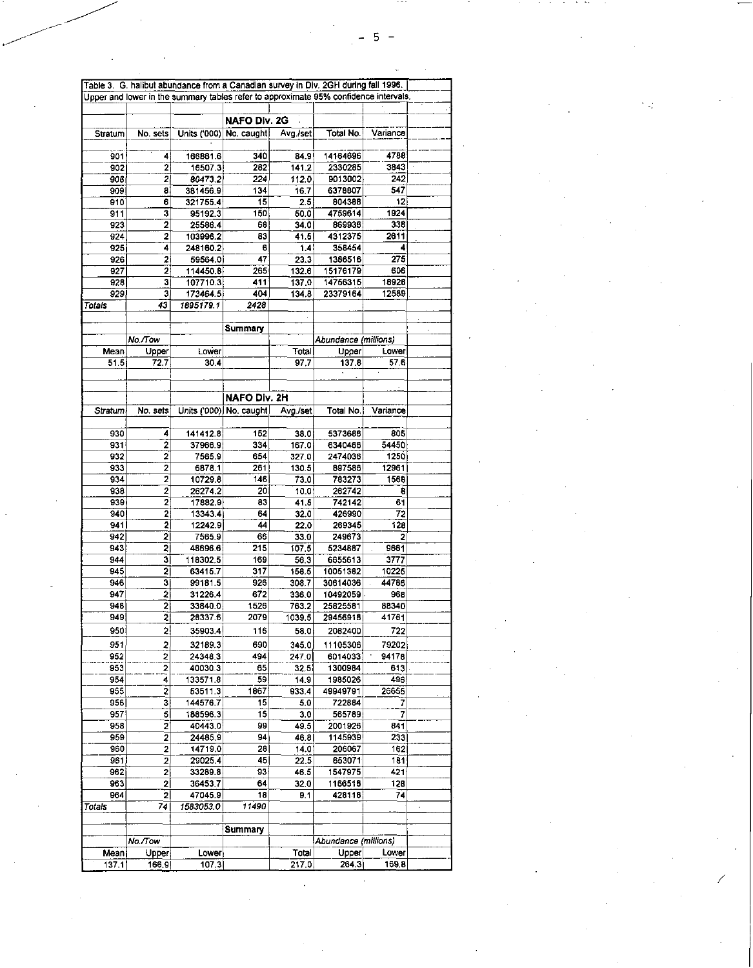| Table 3. G. halibut abundance from a Canadian survey in Div. 2GH during fall 1996. |                         |                                                                                      |                         |          |                      |          |  |  |  |
|------------------------------------------------------------------------------------|-------------------------|--------------------------------------------------------------------------------------|-------------------------|----------|----------------------|----------|--|--|--|
|                                                                                    |                         | Upper and lower in the summary tables refer to approximate 95% confidence intervals. |                         |          |                      |          |  |  |  |
|                                                                                    |                         |                                                                                      |                         |          |                      |          |  |  |  |
|                                                                                    |                         |                                                                                      | <b>NAFO Div. 2G</b>     |          |                      |          |  |  |  |
| Stratum                                                                            | No. sets                |                                                                                      | Units ('000) No. caught | Avg./set | Total No.            | Variance |  |  |  |
|                                                                                    |                         |                                                                                      |                         |          |                      |          |  |  |  |
| 901                                                                                | 4                       | 166861.6                                                                             | 340                     | 84.9     | 14164696             | 4788     |  |  |  |
| 902                                                                                | 2                       | 16507.3                                                                              | 282                     | 141.2    | 2330285              | 3843     |  |  |  |
| 906                                                                                | $\mathbf{2}$            | 80473.2                                                                              | 224                     | 112.0    | 9013002              | 242      |  |  |  |
| 909                                                                                | 8                       | 381456.9                                                                             | 134                     | 16.7     | 6378807              | 547      |  |  |  |
| 910                                                                                | 6                       | 321755.4                                                                             | 15                      | 2.5      | 804388               | 12       |  |  |  |
| 911                                                                                | з                       | 95192.3                                                                              | 150                     | 50.0     | 4759614              | 1924     |  |  |  |
| 923                                                                                | 2                       | 25586.4                                                                              | 68                      | 34.0     | 869936               | 338      |  |  |  |
| 924                                                                                | 2                       | 103996.2                                                                             | 83                      | 41.5     | 4312375              | 2611     |  |  |  |
| 925                                                                                | 4                       | 248160.2                                                                             | 6                       | 1.4      | 358454               | 4        |  |  |  |
| 926                                                                                | 2                       | 59564.0                                                                              | 47                      | 23.3     | 1386516              | 275      |  |  |  |
| 927                                                                                | 2                       | 114450.8                                                                             | 265                     | 132.6    | 15176179             | 606      |  |  |  |
| 928                                                                                | з                       | 107710.3                                                                             | 411                     | 137.0    | 14756315             | 18928    |  |  |  |
| 929                                                                                | з                       | 173464.5                                                                             | 404                     | 134.8    | 23379164             | 12589    |  |  |  |
| Totals                                                                             | 43                      | 1895179.1                                                                            | 2428                    |          |                      |          |  |  |  |
|                                                                                    |                         |                                                                                      |                         |          |                      |          |  |  |  |
|                                                                                    |                         |                                                                                      | Summary                 |          |                      |          |  |  |  |
|                                                                                    | No./Tow                 |                                                                                      |                         |          | Abundance (millions) |          |  |  |  |
| Mean                                                                               | Upper                   | Lower                                                                                |                         | Total    | Upper                | Lower    |  |  |  |
| 51.5                                                                               | 72.7                    | 30.4                                                                                 |                         | 97,7     | 137.8                | 57.6     |  |  |  |
|                                                                                    |                         |                                                                                      |                         |          |                      |          |  |  |  |
|                                                                                    |                         |                                                                                      |                         |          |                      |          |  |  |  |
|                                                                                    |                         |                                                                                      | NAFO Div. 2H            |          |                      |          |  |  |  |
| Stratum                                                                            | No. sets                |                                                                                      | Units ('000) No. caught | Avg./set | Total No.            | Variance |  |  |  |
|                                                                                    |                         |                                                                                      |                         |          |                      |          |  |  |  |
| 930                                                                                | 4                       | 141412.8                                                                             | 152                     | 38.0     | 5373686              | 805      |  |  |  |
| 931                                                                                | 2                       | 37966.9                                                                              | 334                     | 167.0    | 6340466              | 54450    |  |  |  |
| 932                                                                                | 2                       | 7565.9                                                                               | 654                     | 327.0    | 2474036              | 1250     |  |  |  |
| 933                                                                                | $\overline{2}$          | 6878.1                                                                               | 261                     | 130.5    | 897586               | 12961    |  |  |  |
| 934                                                                                | 2                       | 10729.8                                                                              | 146                     | 73.0     | 783273               | 1568     |  |  |  |
| 938                                                                                | $\overline{2}$          | 26274.2                                                                              | 20                      | 10.0     | 262742               | 8        |  |  |  |
| 939                                                                                | 2                       | 17882.9                                                                              | 83                      | 41.5     | 742142               | 61       |  |  |  |
| 940                                                                                | 2                       | 13343.4                                                                              | 64                      | 32.0     | 426990               | 72       |  |  |  |
| 941                                                                                | 2                       | 12242.9                                                                              | 44                      | 22.0     | 269345               | 128      |  |  |  |
| 942                                                                                | 2                       | 7565.9                                                                               | 66                      | 33,0     | 249673               | 2        |  |  |  |
| 943                                                                                | 2                       | 48696.6                                                                              | 215                     | 107.5    | 5234887              | 9661     |  |  |  |
| 944                                                                                | 3                       | 118302.5                                                                             | 169                     | 56.3     | 6655613              | 3777     |  |  |  |
| 945                                                                                | $\overline{\mathbf{2}}$ | 63415.7                                                                              | 317                     | 158.5    | 10051382             | 10225    |  |  |  |
| 946                                                                                | 3                       | 99181.5                                                                              | 926                     | 308.7    | 30614036             | 44786    |  |  |  |
| 947                                                                                | 2                       | 31226.4                                                                              | 672                     | 336.0    | 10492059             | 968      |  |  |  |
| 948                                                                                | 2                       | 33840.0                                                                              | 1526                    | 763.2    | 25825581             | 88340    |  |  |  |
| 949                                                                                | 2                       | 28337.6                                                                              | 2079                    | 1039.5   | 29456918             | 41761    |  |  |  |
| 950                                                                                | 2                       | 35903.4                                                                              | 116                     | 58.0     | 2082400              | 722      |  |  |  |
|                                                                                    |                         |                                                                                      |                         |          |                      |          |  |  |  |
| 951                                                                                | 2                       | 32189.3                                                                              | 690                     | 345.0    | 11105306             | 79202    |  |  |  |
| 952                                                                                | 2                       | 24348.3                                                                              | 494                     | 247.0    | 6014033              | 94178    |  |  |  |
| 953                                                                                | $\overline{2}$          | 40030.3                                                                              | 65                      | 32.5     | 1300984              | 613      |  |  |  |
| 954                                                                                | 4                       | 133571.8                                                                             | 59                      | 14.9     | 1985026              | 496      |  |  |  |
| 955                                                                                | $\overline{2}$          | 53511.3                                                                              | 1867                    | 933.4    | 49949791             | 26655    |  |  |  |
| 956                                                                                | 3                       | 144576.7                                                                             | 15                      | 5,0      | 722884               | 7        |  |  |  |
| 957                                                                                | $\overline{5}$          | 188596.3                                                                             | 15                      | 3.0      | 565789               | 7        |  |  |  |
| 958                                                                                | $\overline{\mathbf{2}}$ | 40443.0                                                                              | 99                      | 49.5     | 2001926              | 841      |  |  |  |
| 959                                                                                | $\overline{2}$          | 24485.9                                                                              | 94                      | 46.8     | 1145939              | 233      |  |  |  |
| 960                                                                                | $\overline{2}$          | 14719.0                                                                              | 28                      | 14.0     | 206067               | 162      |  |  |  |
| 961                                                                                | 2                       | 29025.4                                                                              | 45                      | 22.5     | 653071               | 181      |  |  |  |
| 962                                                                                | $\mathbf{2}$            | 33289.8                                                                              | 93                      | 46.5     | 1547975              | 421      |  |  |  |
| 963                                                                                | $\mathbf{2}$            | 36453.7                                                                              | 64                      | 32.0     | 1166518              | 128      |  |  |  |
| 964                                                                                | 2                       | 47045.9                                                                              | 18                      | 9.1      | 428118               | 74       |  |  |  |
| Totals                                                                             | 74                      | 1583053.0                                                                            | 11490                   |          |                      |          |  |  |  |
|                                                                                    |                         |                                                                                      |                         |          |                      |          |  |  |  |
|                                                                                    |                         |                                                                                      | Summary                 |          |                      |          |  |  |  |
|                                                                                    | No./Tow                 |                                                                                      |                         |          | Abundance (millions) |          |  |  |  |
| Mean                                                                               | Upper                   | Lower                                                                                |                         | Total    | Upper                | Lower    |  |  |  |
| 137.1                                                                              | 166.9                   | 107.3                                                                                |                         | 217.0    | 264.3                | 169.8    |  |  |  |

 $\epsilon$ 

 $\ddot{\phantom{0}}$ 

 $\mathcal{L}_{\mathcal{L}}$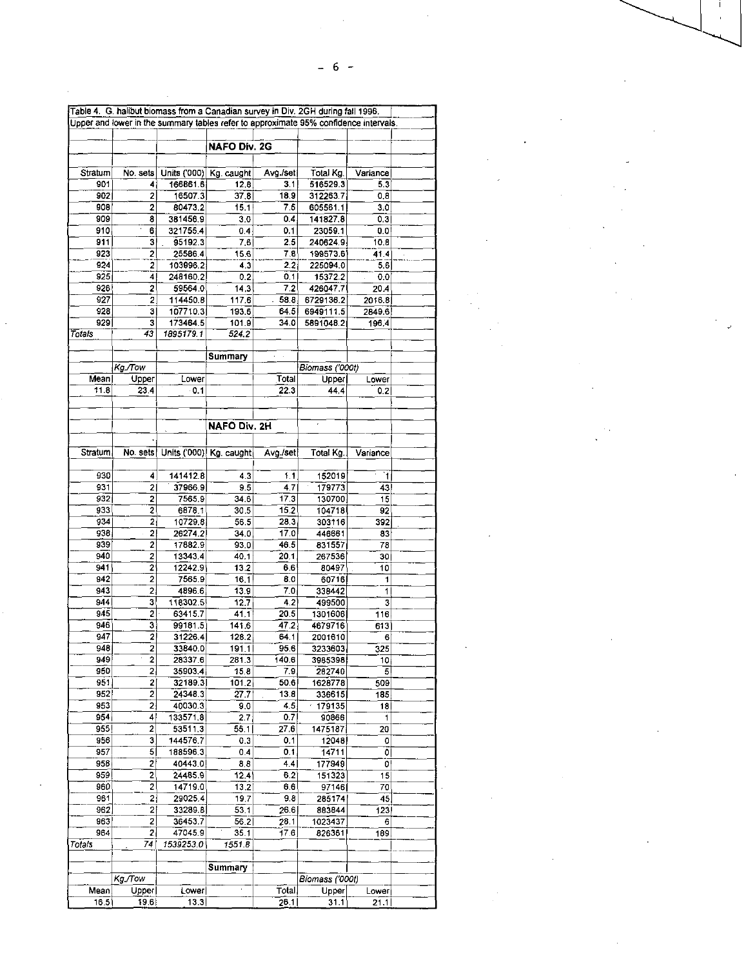|              |                     | Table 4. G. halibut biomass from a Canadian survey in Div. 2GH during fall 1996.     |                     |              |                    |          |  |
|--------------|---------------------|--------------------------------------------------------------------------------------|---------------------|--------------|--------------------|----------|--|
|              |                     | Upper and lower in the summary tables refer to approximate 95% confidence intervals. |                     |              |                    |          |  |
|              |                     |                                                                                      |                     |              |                    |          |  |
|              |                     |                                                                                      | <b>NAFO Div. 2G</b> |              |                    |          |  |
|              |                     |                                                                                      |                     |              |                    |          |  |
| Stratum      | No. sets            | Units ('000) Kg. caught                                                              |                     | Avg./set     | Total Kg.          | Variance |  |
| 901          | 4                   | 166861.6                                                                             | 12.8                | 3.1          | 516529.3           | 5.3      |  |
| 902          | 2                   | 16507.3                                                                              | 37.8                | 18.9         | 312263.7           | 0.8      |  |
| 908          | 2                   | 80473.2                                                                              | 15.1                | 7.5          | 605561.1           | 3.0      |  |
| 909          | 8                   | 381456.9                                                                             | 3.0                 | 0.4          | 141827.8           | 0.3      |  |
| 910          | 6                   | 321755.4                                                                             | 0.4                 | 0.1          | 23059.1            | 0.0      |  |
| 911          | 3                   | 95192.3                                                                              | 7.6                 | 2.5          | 240624.9           | 10.8     |  |
| 923          | $\overline{2}$      | 25586.4                                                                              | 15.6                | 7.8          | 199573.6           | 41.4     |  |
| 924          | 2                   | 103996.2                                                                             | 4.3                 | 2,2          | 225094.0           | 5.6      |  |
| 925          | 4                   | 248160.2                                                                             | 0.2                 | 0,1          | 15372.2            | 0.0      |  |
| 926          | 2                   | 59564.0                                                                              | 14.3                | 7.2          | 426047.7           | 20.4     |  |
| 927          | 2                   | 114450.8                                                                             | 117.6               | .58.8        | 6729136.2          | 2016.8   |  |
| 928          | з                   | 107710.3                                                                             | 193.6               | 64.5         | 6949111.5          | 2849.6   |  |
| 929          | з                   | 173464.5                                                                             | 101.9               | 34.0         | 5891048.2          | 196.4    |  |
| Totals       | 43                  | 1895179.1                                                                            | 524.2               |              |                    |          |  |
|              |                     |                                                                                      |                     |              |                    |          |  |
|              |                     |                                                                                      | Summary             |              |                    |          |  |
|              | Kg./Tow             |                                                                                      |                     |              | Biomass ('000t)    |          |  |
| Mean<br>11.8 | Upper               | Lower                                                                                |                     | Total        | Upper              | Lower    |  |
|              | 23.4                | $-0.1$                                                                               |                     | 22.3         | 44,4               | 0.2      |  |
|              |                     |                                                                                      |                     |              |                    |          |  |
|              |                     |                                                                                      |                     |              |                    |          |  |
|              |                     |                                                                                      | NAFO Div. 2H        |              |                    |          |  |
|              |                     |                                                                                      |                     |              |                    |          |  |
| Stratum      |                     | No. sets Units ('000) Kg. caught                                                     |                     | Avg./set     | Total Kg.          | Variance |  |
|              |                     |                                                                                      |                     |              |                    |          |  |
| 930          | 4                   | 141412.8                                                                             | 4.3                 | 1.1          | 152019             | 1        |  |
| 931          | 21                  | 37966.9                                                                              | 9.5                 | 47           | 179773             | 43       |  |
| 932          | 2                   | 7565.9                                                                               | 34.6                | 17,3         | 130700             | 15       |  |
| 933          | $\overline{2}$      | 6878.1                                                                               | 30.5                | 15,2         | 104718             | 92       |  |
| 934          | $\bar{2}$           | 10729.8                                                                              | 56.5                | 28.3         | 303116             | 392      |  |
| 938          | $\mathbf{2}$        | 26274.2                                                                              | 34.0                | 17.0         | 446661             | 83       |  |
| 939          | 2                   | 17882.9                                                                              | 93.0                | 46.5         | 831557             | 78       |  |
| 940<br>941   | 2                   | 13343.4                                                                              | 40.1<br>13.2        | 20.1         | 267536             | 30       |  |
| 942          | $\overline{2}$<br>2 | 12242.9<br>7565.9                                                                    |                     | 6.6          | 80497              | 10       |  |
| 943          |                     |                                                                                      | 16.1                | 8.0          | 60716              | 1        |  |
| 944          | 2 <sub>i</sub><br>з | 4896.6                                                                               | 13.9                | 7.0          | 338442             | 1        |  |
| 945          | 2                   | 118302.5<br>63415.7                                                                  | 12.7<br>41.1        | 4.2<br>20.5  | 499500<br>1301606  | 3        |  |
| 946          | 3                   | 99181.5                                                                              |                     |              |                    | 116      |  |
| 947          | 2                   | 31226.4                                                                              | 141.6<br>128.2      | 47.2<br>64.1 | 4679716<br>2001610 | 613<br>6 |  |
| 948          | 2                   | 33840.0                                                                              | 191.1               | 95.6         | 3233603            | 325      |  |
| 949          | $\overline{2}$      | 28337.6                                                                              | 281.3               | 140.6        | 3985398            | 10       |  |
| 950          | 21                  | 35903.4                                                                              | 15.8                | 7.9          | 282740             | 5        |  |
| 951          | $\mathbf{2}$        | 32189.3                                                                              | 101.2               | 50.6         | 1628778            | 509      |  |
| 952          | 2                   | 24348.3                                                                              | 27.7                | 13.8         | 336615             | 185      |  |
| 953          | 2)                  | 40030.3                                                                              | 9.0                 | 4.5          | 179135             | 18       |  |
| 954          | 4                   | 133571.8                                                                             | 2.7 <sub>1</sub>    | 0.7          | 90866              | 1        |  |
| 955          | 2                   | 53511.3                                                                              | 55.1                | 27.6         | 1475187            | 20       |  |
| 956          | з                   | 144576.7                                                                             | 0.3                 | 0.1          | 12048              | 0        |  |
| 957          | 5                   | 188596.3                                                                             | 0.4                 | 0.1          | 14711              | 0        |  |
| 958          | 2                   | 40443.0                                                                              | 8,8                 | 4.4          | 177949             | 0        |  |
| 959          | 2                   | 24485.9                                                                              | 12.4                | 6.2          | 151323             | 15       |  |
| 960          | 2                   | 14719.0                                                                              | 13.2                | 6.6          | 97146              | 70       |  |
| 961          | 21                  | 29025.4                                                                              | 19.7                | 9.8          | 285174             | 45       |  |
| 962          | 2                   | 33289.B                                                                              | 53.1                | 26.6         | 883844             | 123      |  |
| 963          | 2                   | 36453.7                                                                              | 56.2                | 28.1         | 1023437            | 6        |  |
| 964          | 2                   | 47045.9                                                                              | 35.1                | 17.6         | 826361             | 189      |  |
| Totals       | 74                  | 1539253.0                                                                            | 1551.8              |              |                    |          |  |
|              |                     |                                                                                      |                     |              |                    |          |  |
|              |                     |                                                                                      | Summary             |              |                    |          |  |
|              | Kg./Tow             |                                                                                      |                     |              | Biomass ('000t)    |          |  |
| Mean.        | Upper               | Lower                                                                                |                     | Total        | Upper              | Lower    |  |
| 16.51        | 19.6                | 13.3 <sub>1</sub>                                                                    |                     | 26.1         | 31.11              | 21.11    |  |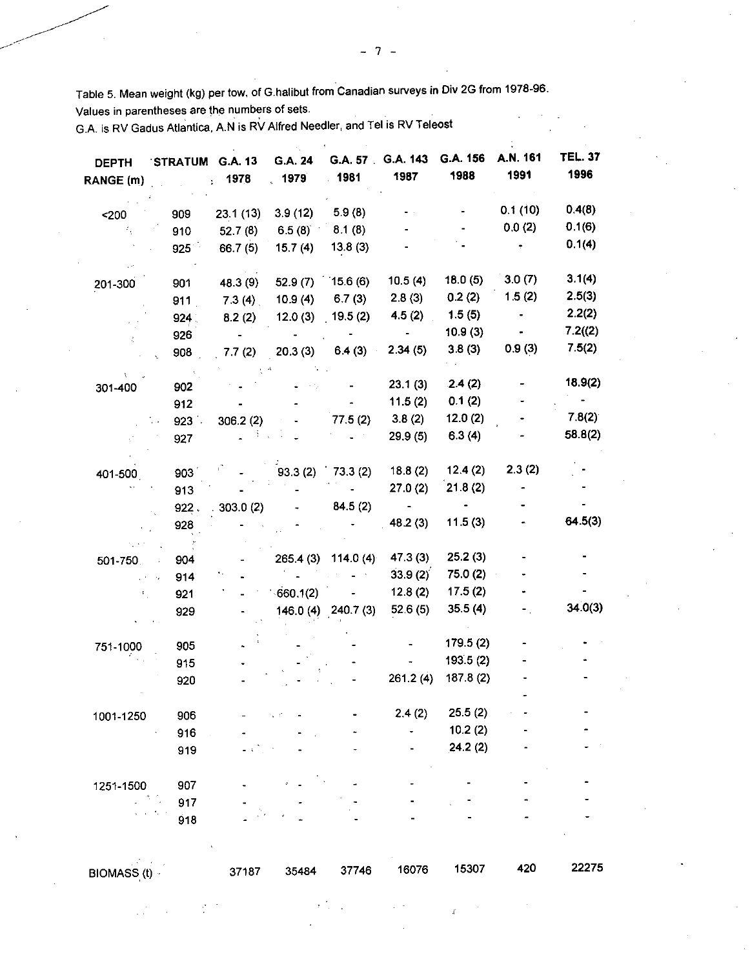Table 5. Mean weight (kg) per tow, of G.halibut from Canadian surveys in Div 2G from 1978-96.

Values in parentheses are the numbers of sets.

G.A. is RV Gadus Atlantica, A.N is RV Alfred Needier, and Tel is RV Teleost

| <b>DEPTH</b><br>RANGE (m) | STRATUM G.A. 13<br><b>Contract</b> | 1978<br>ř. | G.A. 24<br>1979    | G.A. 57<br>.4981     | G.A. 143<br>1987 | G.A. 156<br>1988 | A.N. 161<br>1991 | <b>TEL. 37</b><br>1996 |
|---------------------------|------------------------------------|------------|--------------------|----------------------|------------------|------------------|------------------|------------------------|
|                           |                                    |            |                    |                      |                  |                  |                  |                        |
| 200                       | 909                                | 23.1(13)   | 3.9(12)            | 5.9(8)               |                  |                  | 0.1(10)          | 0.4(8)                 |
|                           | 910                                | 52.7(8)    | 6.5(8)             | 8.1(8)               |                  |                  | 0.0(2)           | 0.1(6)                 |
|                           | 925                                | 66.7(5)    | 15.7(4)            | 13.8(3)              |                  |                  |                  | 0.1(4)                 |
|                           |                                    |            |                    |                      |                  |                  |                  |                        |
| 201-300                   | 901                                | 48.3 (9)   | $52.9(7)$ 15.6 (6) |                      | 10.5(4)          | 18.0(5)          | 3.0(7)           | 3.1(4)                 |
|                           | 911                                | 73(4)      | 10.9(4)            | 6.7(3)               | 2.8(3)           | 0.2(2)           | 1.5(2)           | 2.5(3)                 |
|                           | 924                                | 8.2(2)     | 12.0(3)            | 19.5(2)              | 4.5(2)           | 1.5(5)           | ٠                | 2.2(2)                 |
|                           | 926                                |            |                    |                      | $\blacksquare$   | 10.9(3)          |                  | 7.2(2)                 |
|                           | 908                                | 7.7(2)     | 20.3(3)            | 6.4(3)               | 2.34(5)          | 3.8(3)           | 0.9(3)           | 7.5(2)                 |
|                           |                                    |            |                    |                      |                  | .2.4(2)          |                  | 18.9(2)                |
| 301-400                   | 902                                |            |                    |                      | 23.1(3)          | 0.1(2)           |                  |                        |
|                           | 912                                |            |                    |                      | 11.5(2)          |                  |                  | 7.8(2)                 |
|                           | $923$ .                            | 306.2(2)   |                    | 77.5(2)              | 3.8(2)           | 12.0(2)          |                  | 58.8(2)                |
|                           | 927                                |            |                    |                      | 29.9(5)          | 6.3(4)           |                  |                        |
| 401-500                   | 903                                |            | 93.3(2)            | 73.3(2)              | 18.8(2)          | 12.4(2)          | 2.3(2)           |                        |
|                           | 913                                |            |                    |                      | 27.0(2)          | 21.8(2)          |                  |                        |
|                           | 922.                               | 303.0(2)   |                    | 84.5(2)              | $\sim$           |                  |                  |                        |
|                           | 928                                |            |                    |                      | 48.2(3)          | 11.5(3)          |                  | 64.5(3)                |
|                           |                                    |            |                    |                      |                  |                  |                  |                        |
| 501-750.                  | 904                                |            |                    | 265.4 (3) 114.0 (4)  | 47.3(3)          | 25.2(3)          |                  |                        |
|                           | 914                                |            |                    |                      | 33.9(2)          | 75.0 (2)         |                  |                        |
|                           | 921                                |            | 660.1(2)           |                      | 12.8(2)          | 17.5(2)          |                  |                        |
|                           | 929                                |            |                    | $146.0(4)$ 240.7 (3) | 52.6(5)          | 35.5(4)          |                  | 34.0(3)                |
|                           |                                    |            |                    |                      |                  |                  |                  |                        |
| 751-1000                  | 905                                |            |                    |                      |                  | 179.5(2)         |                  |                        |
|                           | 915                                |            |                    |                      |                  | 193.5(2)         |                  |                        |
|                           | 920                                |            |                    |                      | 261.2(4)         | 187.8(2)         |                  |                        |
|                           |                                    |            |                    |                      |                  |                  |                  |                        |
| 1001-1250                 | 906                                |            |                    |                      | 2.4(2)           | 25.5(2)          |                  |                        |
|                           | 916                                |            |                    |                      |                  | 10.2(2)          |                  |                        |
|                           | 919                                |            |                    |                      |                  | 24.2(2)          |                  |                        |
| 1251-1500                 | 907                                |            |                    |                      |                  |                  |                  |                        |
|                           | 917                                |            |                    |                      |                  |                  |                  |                        |
|                           | 918                                |            |                    |                      |                  |                  |                  |                        |
|                           |                                    |            |                    |                      |                  |                  |                  |                        |
| BIOMASS (t) -             |                                    | 37187      | 35484              | 37746                | 16076            | 15307            | 420              | 22275                  |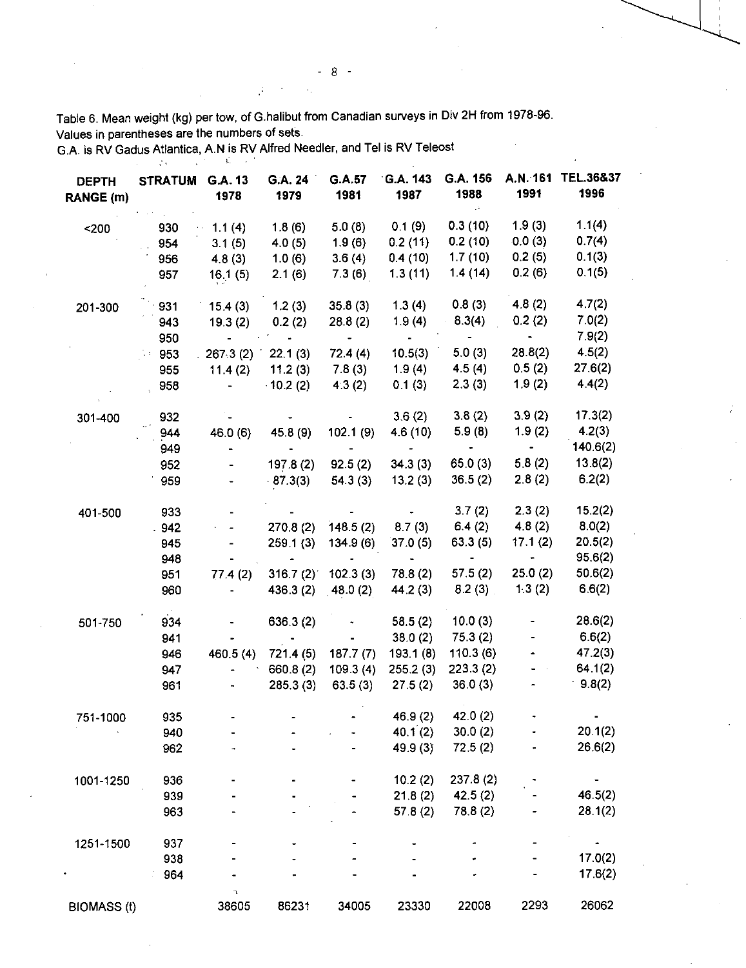Table 6. Mean weight (kg) per tow, of G.halibut from Canadian surveys in Div 2H from 1978-96. Values in parentheses are the numbers of sets.

 $\cdot$ 

G.A. is RV Gadus Atlantica, A.N is RV Alfred Needier, and Tel is RV Teleost

 $\mathcal{I}$ 

| <b>DEPTH</b><br>RANGE (m) | <b>STRATUM</b> | G.A. 13<br>1978                                                                     | G.A. 24<br>1979                               | G.A.57<br>1981                  | G.A. 143<br>1987                  | G.A. 156<br>1988         | A.N. 161<br>1991                                            | <b>TEL.36&amp;37</b><br>1996 |
|---------------------------|----------------|-------------------------------------------------------------------------------------|-----------------------------------------------|---------------------------------|-----------------------------------|--------------------------|-------------------------------------------------------------|------------------------------|
| 200                       | 930            | $\sim 1.1(4)$                                                                       | 1.8(6)                                        | 5.0(8)                          | 0.1(9)                            | 0.3(10)                  | 1.9(3)                                                      | 1.1(4)                       |
|                           | 954            | 3.1(5)                                                                              | 4.0(5)                                        | 1.9(6)                          | 0.2(11)                           | 0.2(10)                  | 0.0(3)                                                      | 0.7(4)                       |
|                           | 956            | 4.8(3)                                                                              | 1.0(6)                                        | 3.6(4)                          | 0.4(10)                           | 1.7(10)                  | 0.2(5)                                                      | 0.1(3)                       |
|                           | 957            | 16.1(5)                                                                             | 2.1(6)                                        | 7.3(6)                          | 1.3(11)                           | 1.4(14)                  | 0.2(6)                                                      | 0.1(5)                       |
| 201-300                   | 931            | $15.4(3)$ 1.2(3)                                                                    |                                               | 35.8(3)                         |                                   | $1.3(4)$ 0.8(3)          | 4.8 (2)                                                     | 4.7(2)                       |
|                           | 943            | $19.3(2)$ 0.2(2)                                                                    |                                               | 28.8(2)                         |                                   | $1.9(4)$ $8.3(4)$        | 0.2(2)                                                      | 7.0(2)                       |
|                           | 950            |                                                                                     | and the state of the state                    | $\frac{1}{2}$ and $\frac{1}{2}$ | $\Delta \sim 100$ km s $^{-1}$    | $\sim 100$ m $^{-1}$     | $\frac{1}{2}$ and $\frac{1}{2}$                             | 7.9(2)                       |
|                           | 953            | .267.3(2) 22.1(3)                                                                   |                                               | 72.4(4)                         | 10.5(3)                           | 5.0(3)                   | 28.8(2)                                                     | 4.5(2)                       |
|                           | 955            | $11.4(2)$ 11.2(3)                                                                   |                                               | 7.8(3)                          | 1.9(4)                            | 4.5(4)                   | 0.5(2)                                                      | 27.6(2)                      |
|                           | 958            | $\mathcal{L}^{\text{max}}_{\text{max}}$ and $\mathcal{L}^{\text{max}}_{\text{max}}$ | $-10.2(2)$                                    | 4.3(2)                          | 0.1(3)                            | 2.3(3)                   | 1.9(2)                                                      | 4.4(2)                       |
| 301-400                   | 932            |                                                                                     |                                               |                                 | 3.6(2)                            | 3.8(2)                   | 3.9(2)                                                      | 17.3(2)                      |
|                           | 944            | 46.0 (6)                                                                            | 45.8 (9)                                      | 102.1(9)                        | 4.6 (10)                          | 5.9(8)                   | 1.9(2)                                                      | 4.2(3)                       |
|                           | 949            |                                                                                     | $\frac{1}{2}$ , $\frac{1}{2}$ , $\frac{1}{2}$ |                                 | $\sim 1000$ m $^{-1}$             | $\bullet$ .              | $\bullet$ .<br><br><br><br><br><br><br><br><br><br><br><br> | 140.6(2)                     |
|                           | 952            |                                                                                     | 197.8 (2)                                     | 92.5(2)                         | 34.3(3)                           | 65.0 (3)                 | 5.8(2)                                                      | 13.8(2)                      |
|                           | 959            |                                                                                     | $-87.3(3)$                                    | 54.3(3)                         | 13.2(3)                           | 36.5(2)                  | 2.8(2)                                                      | 6.2(2)                       |
| 401-500                   | 933            |                                                                                     |                                               |                                 |                                   | 3.7(2)                   | 2.3(2)                                                      | 15.2(2)                      |
|                           | .942           | $\mathbf{G} = \mathbf{G} \mathbf{G}$ , where $\mathbf{G} = \mathbf{G}$              |                                               | $270.8(2)$ 148.5(2)             |                                   | $8.7(3)$ 6.4(2)          | 4.8(2)                                                      | 8.0(2)                       |
|                           | 945            |                                                                                     | 259.1(3)                                      | 134.9(6)                        | 37.0(5)                           | 63.3(5)                  | 17.1(2)                                                     | 20.5(2)                      |
|                           | 948            |                                                                                     | $\frac{1}{2}$ and $\frac{1}{2}$ .             | $\sim$                          | $\frac{1}{2}$ and $\frac{1}{2}$ . | <b>Contract Contract</b> | <b>Contract Contract</b>                                    | 95.6(2)                      |
|                           | 951            | 77.4(2)                                                                             |                                               | $316.7(2)$ 102.3 (3)            | 78.8 (2)                          | 57.5(2)                  | 25.0(2)                                                     | 50.6(2)                      |
|                           | 960            | $\mathcal{L}_{\mathcal{A}}$                                                         |                                               | $436.3(2)$ $48.0(2)$            | 44.2 (3)                          | 8.2(3)                   | 1.3(2)                                                      | 6.6(2)                       |
| 501-750                   | 934            |                                                                                     | 636.3(2)                                      |                                 | 58.5(2)                           | 10.0(3)                  |                                                             | 28.6(2)                      |
|                           | 941            |                                                                                     |                                               |                                 | 38.0(2)                           | 75.3(2)                  |                                                             | 6.6(2)                       |
|                           | 946            | 460.5 (4)                                                                           | 721.4 (5)                                     | 187.7(7)                        | 193.1(8)                          | 110.3(6)                 |                                                             | 47.2(3)                      |
|                           | 947            |                                                                                     | 660.8 (2)                                     | 109.3(4)                        | 255.2(3)                          | 223.3(2)                 |                                                             | 64.1(2)                      |
|                           | 961            | $\blacksquare$                                                                      | 285.3(3)                                      | 63.5(3)                         | 27.5(2)                           | 36.0(3)                  |                                                             | 9.8(2)                       |
| 751-1000                  | 935            |                                                                                     |                                               |                                 | 46.9(2)                           | 42.0 $(2)$               |                                                             |                              |
|                           | 940            |                                                                                     |                                               |                                 | 40.1(2)                           | 30.0(2)                  |                                                             | 20.1(2)                      |
|                           | 962            |                                                                                     |                                               |                                 | 49.9 (3)                          | 72.5(2)                  |                                                             | 26.6(2)                      |
| 1001-1250                 | 936            |                                                                                     |                                               |                                 | 10.2(2)                           | 237.8(2)                 |                                                             |                              |
|                           | 939            |                                                                                     |                                               |                                 | 21.8(2)                           | 42.5(2)                  |                                                             | 46.5(2)                      |
|                           | 963            |                                                                                     |                                               |                                 | 57.8 $(2)$                        | 78.8 (2)                 |                                                             | 28.1(2)                      |
| 1251-1500                 | 937            |                                                                                     |                                               |                                 |                                   |                          |                                                             | ۰                            |
|                           | 938            |                                                                                     |                                               |                                 |                                   |                          |                                                             | 17.0(2)                      |
|                           | 964            | ٦                                                                                   |                                               |                                 |                                   |                          |                                                             | 17.6(2)                      |
| <b>BIOMASS (t)</b>        |                | 38605                                                                               | 86231                                         | 34005                           | 23330                             | 22008                    | 2293                                                        | 26062                        |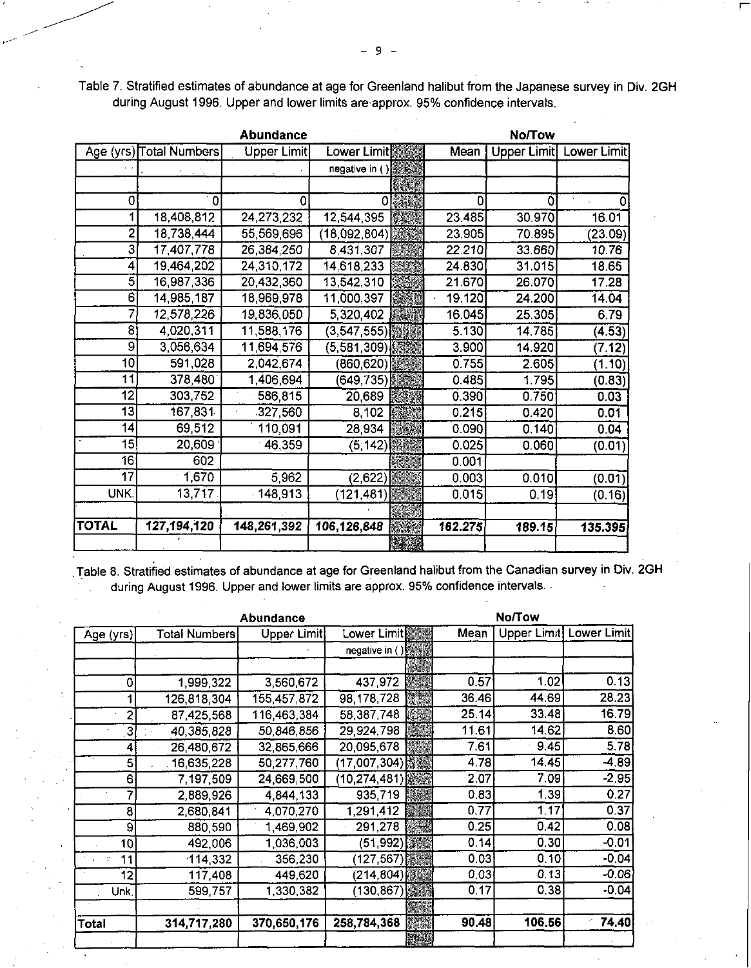Table 7. Stratified estimates of abundance at age for Greenland halibut from the Japanese survey in Div. 2GH during August 1996. Upper and lower limits are•approx. 95% confidence intervals.

|                 |                         | <b>Abundance</b> | <b>No/Tow</b>      |  |         |             |             |  |
|-----------------|-------------------------|------------------|--------------------|--|---------|-------------|-------------|--|
|                 | Age (yrs) Total Numbers | Upper Limit      | Lower Limit        |  | Mean    | Upper Limit | Lower Limit |  |
|                 |                         |                  | negative in ()     |  |         |             |             |  |
|                 |                         |                  |                    |  |         |             |             |  |
| 0               | $\mathbf 0$             | 0                | Ω                  |  | 0       | 0           |             |  |
|                 | 18,408,812              | 24,273,232       | 12,544,395         |  | 23.485  | 30.970      | 16.01       |  |
| 2               | 18,738,444              | 55,569,696       | (18,092,804)       |  | 23.905  | 70.895      | (23.09)     |  |
| 3               | 17,407,778              | 26,384,250       | $\sqrt{8,431,307}$ |  | 22.210  | 33.660      | 10.76       |  |
| 4               | 19,464,202              | 24,310,172       | 14,618,233         |  | 24.830  | 31.015      | 18.65       |  |
| 5               | 16,987,336              | 20,432,360       | 13.542,310         |  | 21.670  | 26.070      | 17.28       |  |
| $\overline{6}$  | 14,985,187              | 18,969,978       | 11,000,397         |  | 19.120  | 24.200      | 14.04       |  |
|                 | 12,578,226              | 19,836,050       | 5,320,402          |  | 16.045  | 25.305      | 6.79        |  |
| $\mathbf{8}$    | 4,020,311               | 11,588,176       | (3, 547, 555)      |  | 5.130   | 14.785      | (4.53)      |  |
| 9               | 3,056,634               | 11,694,576       | (5,581,309)        |  | 3.900   | 14.920      | (7.12)      |  |
| 10              | 591,028                 | 2,042,674        | (860,620)          |  | 0.755   | 2.605       | (1.10)      |  |
| 11              | 378,480                 | 1,406,694        | (649,735)          |  | 0.485   | 1.795       | (0.83)      |  |
| 12              | 303,752                 | 586,815          | 20,689             |  | 0.390   | 0.750       | 0.03        |  |
| 13              | 167,831                 | 327,560          | 8,102              |  | 0.215   | 0.420       | 0.01        |  |
| 14              | 69,512                  | 110,091          | 28,934             |  | 0.090   | 0.140       | 0.04        |  |
| 15              | 20,609                  | 46,359           | (5, 142)           |  | 0.025   | 0.060       | (0.01)      |  |
| 16 <sup>2</sup> | 602                     |                  |                    |  | 0.001   |             |             |  |
| 17              | 1,670                   | 5,962            | (2,622)            |  | 0.003   | 0.010       | (0.01)      |  |
| UNK.            | 13,717                  | 148,913          | (121,481           |  | 0.015   | 0.19        | (0.16)      |  |
|                 |                         |                  |                    |  |         |             |             |  |
| TOTAL           | 127,194,120             | 148,261,392      | 106,126,848        |  | 162.275 | 189.15      | 135.395     |  |
|                 |                         |                  |                    |  |         |             |             |  |

Table 8. Stratified estimates of abundance at age for Greenland halibut from the Canadian survey in Div. 2GH during August 1996. Upper and lower limits are approx. 95% confidence intervals.

|           | Abundance            | <b>No/Tow</b> |                |  |       |             |                    |
|-----------|----------------------|---------------|----------------|--|-------|-------------|--------------------|
| Age (yrs) | <b>Total Numbers</b> | Upper Limit   | Lower Limit    |  | Mean  | Upper Limit | <b>Lower Limit</b> |
|           |                      |               | negative in () |  |       |             |                    |
|           |                      |               |                |  |       |             |                    |
| 0         | 1,999,322            | 3,560,672     | 437,972        |  | 0.57  | 1.02        | 0.13               |
|           | 126 818 304          | 155 457,872   | 98,178,728     |  | 36.46 | 44.69       | 28.23              |
|           | 87,425,568           | 116,463,384   | 58,387,748     |  | 25.14 | 33.48       | 16.79              |
| 3         | 40,385,828           | 50,846,856    | 29,924,798     |  | 11.61 | 14.62       | 8.60               |
|           | 26,480,672           | 32,865,666    | 20,095,678     |  | 7.61  | 9.45        | 5,78               |
| 5         | 16.635,228           | 50,277,760    | (17,007,304)   |  | 4.78  | 14.45       | $-4.89$            |
| 6         | 7 197,509            | 24,669,500    | (10, 274, 481) |  | 2.07  | 7.09        | $-2.95$            |
|           | 2,889,926            | 4,844,133     | 935,719        |  | 0.83  | 1.39        | 0.27               |
| 8         | 2,680,841            | 4.070,270     | 1,291,412      |  | 0.77  | 1.17        | 0.37               |
| 9         | 880,590              | 1,469,902     | 291,278        |  | 0.25  | 0.42        | 0.08               |
| 10        | 492,006              | 1,036,003     | (51, 992)      |  | 0.14  | 0.30        | $-0.01$            |
| 11        | 114,332              | 356,230       | (127, 567)     |  | 0.03  | 0.10        | $-0.04$            |
| 12        | 117,408              | 449,620       | (214, 804)     |  | 0.03  | 0.13        | $-0.06$            |
| Unk.      | 599,757              | 1,330,382     | (130, 867)     |  | 0.17  | 0.38        | $-0.04$            |
|           |                      |               |                |  |       |             |                    |
| Total     | 314,717,280          | 370,650,176   | 258,784,368    |  | 90.48 | 106.56      | 74.40              |
|           |                      |               |                |  |       |             |                    |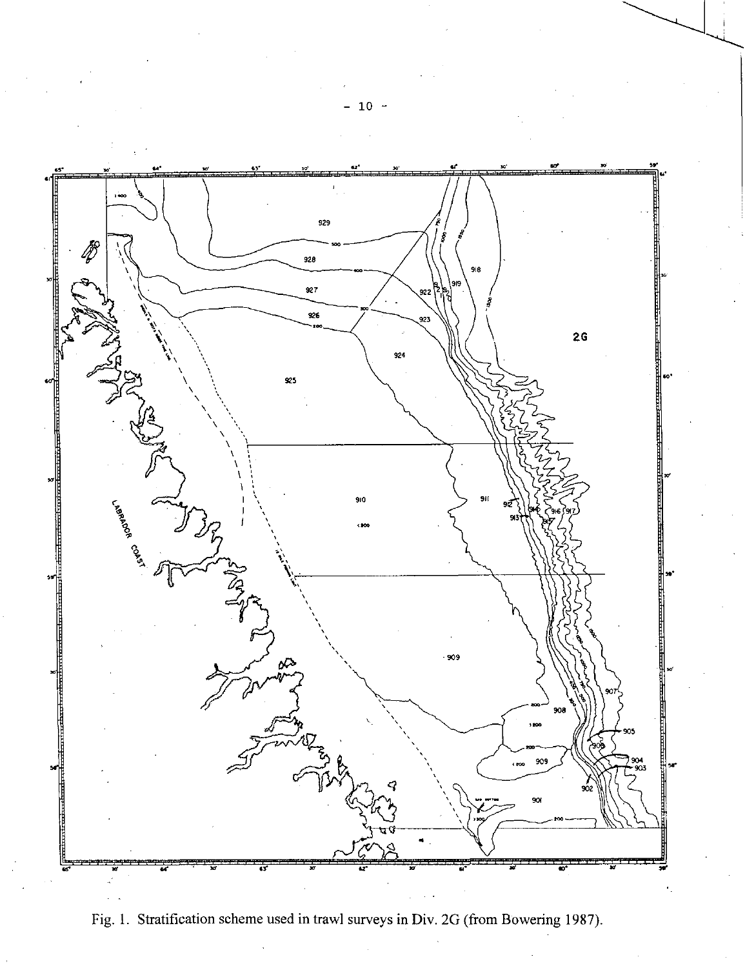

Fig. 1. Stratification scheme used in trawl surveys in Div. 2G (from Bowering 1987).

 $10$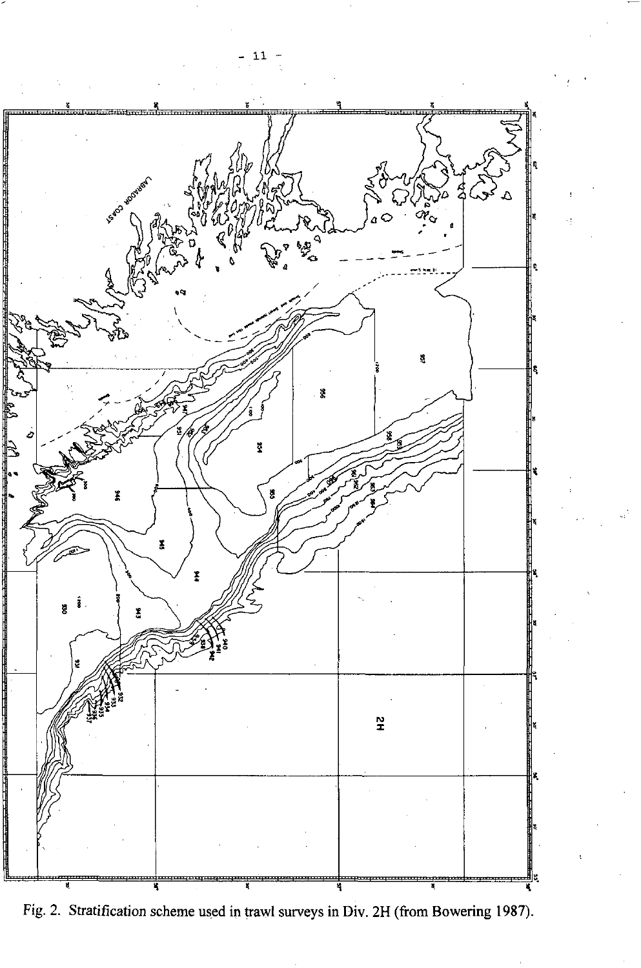

Fig. 2. Stratification scheme used in trawl surveys in Div. 2H (from Bowering 1987).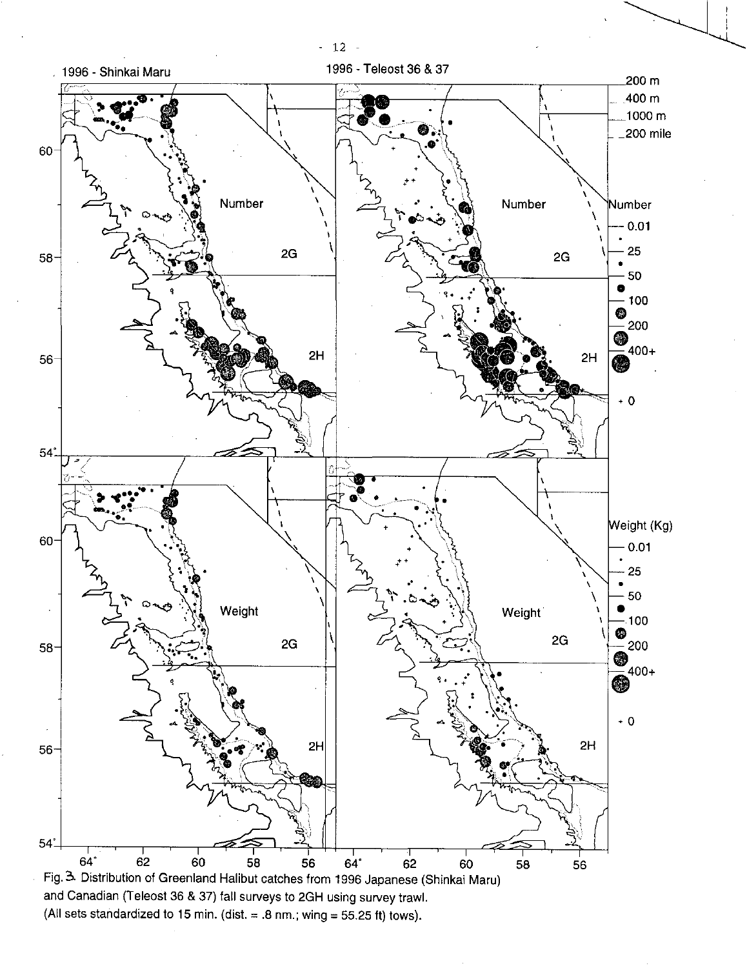

(All sets standardized to 15 min. (dist. = .8 nm.; wing = 55.25 ft) tows).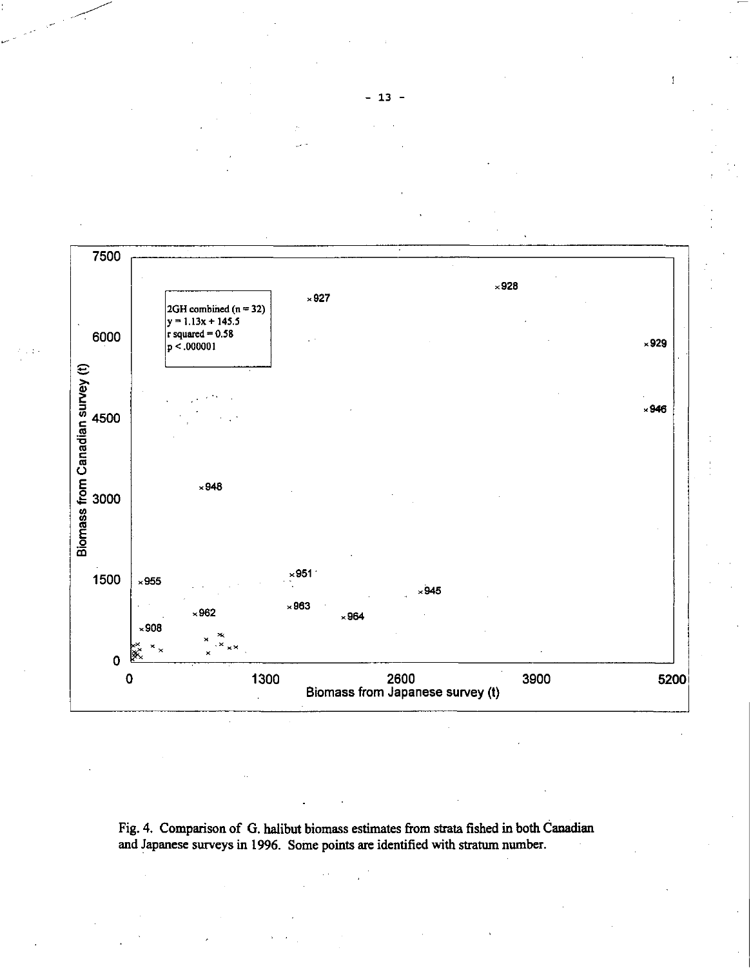

Fig. 4. Comparison of G. halibut biomass estimates from strata fished in both Canadian and Japanese surveys in 1996. Some points are identified with stratum number.

ŧ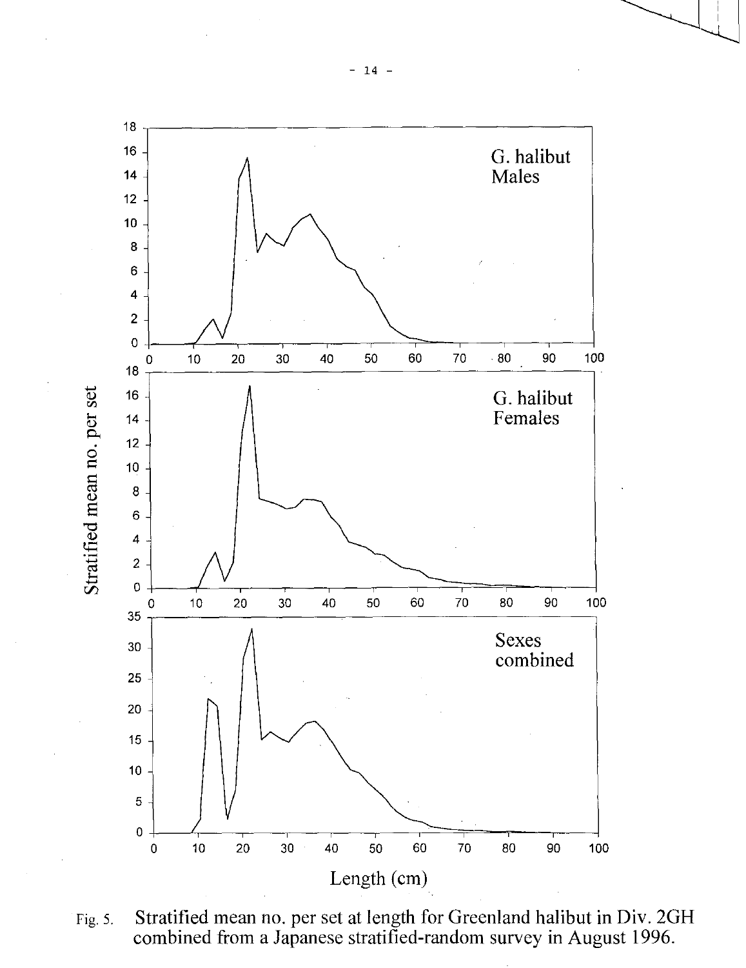

Fig. 5. Stratified mean no. per set at length for Greenland halibut in Div. 2GH combined from a Japanese stratified-random survey in August 1996.

- 14 -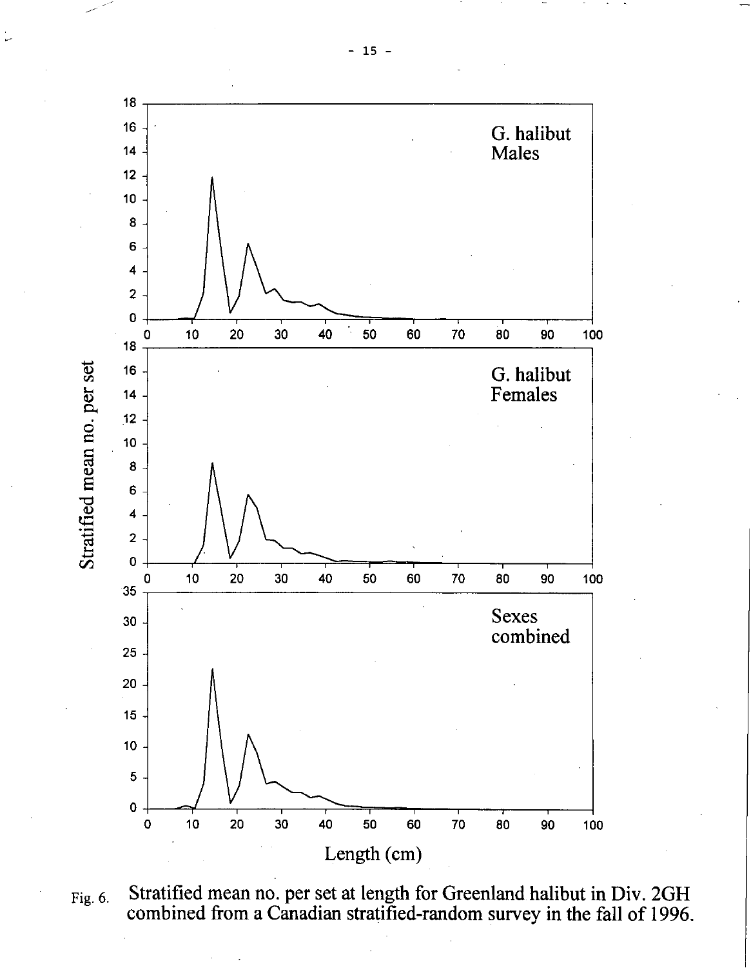

Fig. 6. Stratified mean no. per set at length for Greenland halibut in Div. 2GH combined from a Canadian stratified-random survey in the fall of 1996.

t.